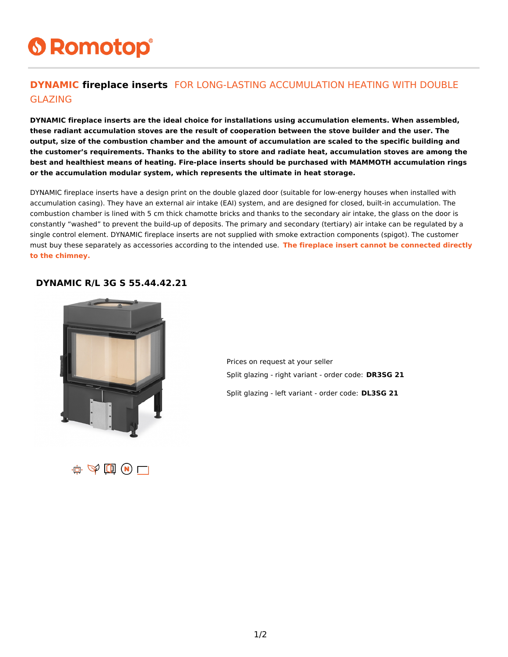# **6 Romotop®**

#### **DYNAMIC fireplace inserts** FOR LONG-LASTING ACCUMULATION HEATING WITH DOUBLE GLAZING

**DYNAMIC fireplace inserts are the ideal choice for installations using accumulation elements. When assembled, these radiant accumulation stoves are the result of cooperation between the stove builder and the user. The output, size of the combustion chamber and the amount of accumulation are scaled to the specific building and the customer's requirements. Thanks to the ability to store and radiate heat, accumulation stoves are among the best and healthiest means of heating. Fire-place inserts should be purchased with MAMMOTH accumulation rings or the accumulation modular system, which represents the ultimate in heat storage.**

DYNAMIC fireplace inserts have a design print on the double glazed door (suitable for low-energy houses when installed with accumulation casing). They have an external air intake (EAI) system, and are designed for closed, built-in accumulation. The combustion chamber is lined with 5 cm thick chamotte bricks and thanks to the secondary air intake, the glass on the door is constantly "washed" to prevent the build-up of deposits. The primary and secondary (tertiary) air intake can be regulated by a single control element. DYNAMIC fireplace inserts are not supplied with smoke extraction components (spigot). The customer must buy these separately as accessories according to the intended use. **The fireplace insert cannot be connected directly to the chimney.**

#### **DYNAMIC R/L 3G S 55.44.42.21**



Prices on request at your seller Split glazing - right variant - order code: **DR3SG 21**

Split glazing - left variant - order code: **DL3SG 21**